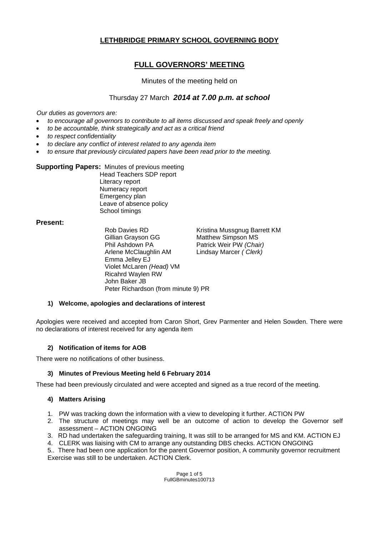## **LETHBRIDGE PRIMARY SCHOOL GOVERNING BODY**

# **FULL GOVERNORS' MEETING**

### Minutes of the meeting held on

### Thursday 27 March *2014 at 7.00 p.m. at school*

*Our duties as governors are:* 

- *to encourage all governors to contribute to all items discussed and speak freely and openly*
- *to be accountable, think strategically and act as a critical friend*
- *to respect confidentiality*
- *to declare any conflict of interest related to any agenda item*
- *to ensure that previously circulated papers have been read prior to the meeting.*

#### **Supporting Papers:** Minutes of previous meeting

 Head Teachers SDP report Literacy report Numeracy report Emergency plan Leave of absence policy School timings

#### **Present:**

Rob Davies RD Kristina Mussgnug Barrett KM Gillian Grayson GG Matthew Simpson MS Phil Ashdown PA Patrick Weir PW *(Chair)*  Arlene McClaughlin AM Lindsay Marcer *( Clerk)*  Emma Jelley EJ Violet McLaren *(Head)* VM Ricahrd Waylen RW John Baker JB Peter Richardson (from minute 9) PR

#### **1) Welcome, apologies and declarations of interest**

Apologies were received and accepted from Caron Short, Grev Parmenter and Helen Sowden. There were no declarations of interest received for any agenda item

#### **2) Notification of items for AOB**

There were no notifications of other business.

#### **3) Minutes of Previous Meeting held 6 February 2014**

These had been previously circulated and were accepted and signed as a true record of the meeting.

#### **4) Matters Arising**

- 1. PW was tracking down the information with a view to developing it further. ACTION PW
- 2. The structure of meetings may well be an outcome of action to develop the Governor self assessment – ACTION ONGOING
- 3. RD had undertaken the safeguarding training, It was still to be arranged for MS and KM. ACTION EJ
- 4. CLERK was liaising with CM to arrange any outstanding DBS checks. ACTION ONGOING

5.. There had been one application for the parent Governor position, A community governor recruitment Exercise was still to be undertaken. ACTION Clerk.

> Page 1 of 5 FullGBminutes100713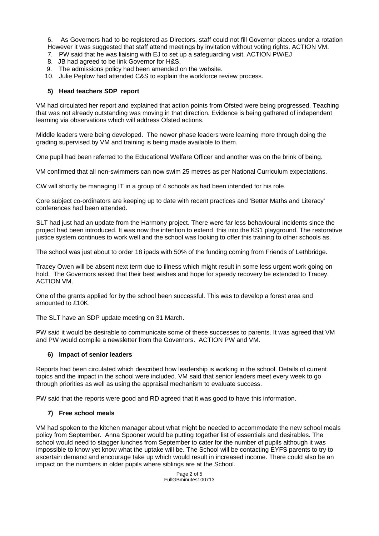6. As Governors had to be registered as Directors, staff could not fill Governor places under a rotation However it was suggested that staff attend meetings by invitation without voting rights. ACTION VM.

- 7. PW said that he was liaising with EJ to set up a safeguarding visit. ACTION PW/EJ
- 8. JB had agreed to be link Governor for H&S.
- 9. The admissions policy had been amended on the website.
- 10. Julie Peplow had attended C&S to explain the workforce review process.

#### **5) Head teachers SDP report**

VM had circulated her report and explained that action points from Ofsted were being progressed. Teaching that was not already outstanding was moving in that direction. Evidence is being gathered of independent learning via observations which will address Ofsted actions.

Middle leaders were being developed. The newer phase leaders were learning more through doing the grading supervised by VM and training is being made available to them.

One pupil had been referred to the Educational Welfare Officer and another was on the brink of being.

VM confirmed that all non-swimmers can now swim 25 metres as per National Curriculum expectations.

CW will shortly be managing IT in a group of 4 schools as had been intended for his role.

Core subject co-ordinators are keeping up to date with recent practices and 'Better Maths and Literacy' conferences had been attended.

SLT had just had an update from the Harmony project. There were far less behavioural incidents since the project had been introduced. It was now the intention to extend this into the KS1 playground. The restorative justice system continues to work well and the school was looking to offer this training to other schools as.

The school was just about to order 18 ipads with 50% of the funding coming from Friends of Lethbridge.

Tracey Owen will be absent next term due to illness which might result in some less urgent work going on hold. The Governors asked that their best wishes and hope for speedy recovery be extended to Tracey. ACTION VM.

One of the grants applied for by the school been successful. This was to develop a forest area and amounted to £10K.

The SLT have an SDP update meeting on 31 March.

PW said it would be desirable to communicate some of these successes to parents. It was agreed that VM and PW would compile a newsletter from the Governors. ACTION PW and VM.

#### **6) Impact of senior leaders**

Reports had been circulated which described how leadership is working in the school. Details of current topics and the impact in the school were included. VM said that senior leaders meet every week to go through priorities as well as using the appraisal mechanism to evaluate success.

PW said that the reports were good and RD agreed that it was good to have this information.

#### **7) Free school meals**

VM had spoken to the kitchen manager about what might be needed to accommodate the new school meals policy from September. Anna Spooner would be putting together list of essentials and desirables. The school would need to stagger lunches from September to cater for the number of pupils although it was impossible to know yet know what the uptake will be. The School will be contacting EYFS parents to try to ascertain demand and encourage take up which would result in increased income. There could also be an impact on the numbers in older pupils where siblings are at the School.

> Page 2 of 5 FullGBminutes100713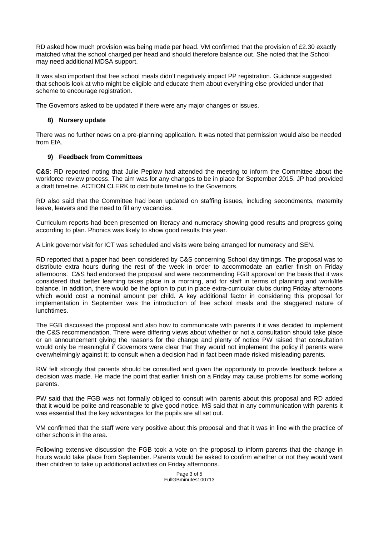RD asked how much provision was being made per head. VM confirmed that the provision of £2.30 exactly matched what the school charged per head and should therefore balance out. She noted that the School may need additional MDSA support.

It was also important that free school meals didn't negatively impact PP registration. Guidance suggested that schools look at who might be eligible and educate them about everything else provided under that scheme to encourage registration.

The Governors asked to be updated if there were any major changes or issues.

#### **8) Nursery update**

There was no further news on a pre-planning application. It was noted that permission would also be needed from EfA.

### **9) Feedback from Committees**

**C&S**: RD reported noting that Julie Peplow had attended the meeting to inform the Committee about the workforce review process. The aim was for any changes to be in place for September 2015. JP had provided a draft timeline. ACTION CLERK to distribute timeline to the Governors.

RD also said that the Committee had been updated on staffing issues, including secondments, maternity leave, leavers and the need to fill any vacancies.

Curriculum reports had been presented on literacy and numeracy showing good results and progress going according to plan. Phonics was likely to show good results this year.

A Link governor visit for ICT was scheduled and visits were being arranged for numeracy and SEN.

RD reported that a paper had been considered by C&S concerning School day timings. The proposal was to distribute extra hours during the rest of the week in order to accommodate an earlier finish on Friday afternoons. C&S had endorsed the proposal and were recommending FGB approval on the basis that it was considered that better learning takes place in a morning, and for staff in terms of planning and work/life balance. In addition, there would be the option to put in place extra-curricular clubs during Friday afternoons which would cost a nominal amount per child. A key additional factor in considering this proposal for implementation in September was the introduction of free school meals and the staggered nature of lunchtimes.

The FGB discussed the proposal and also how to communicate with parents if it was decided to implement the C&S recommendation. There were differing views about whether or not a consultation should take place or an announcement giving the reasons for the change and plenty of notice PW raised that consultation would only be meaningful if Governors were clear that they would not implement the policy if parents were overwhelmingly against it; to consult when a decision had in fact been made risked misleading parents.

RW felt strongly that parents should be consulted and given the opportunity to provide feedback before a decision was made. He made the point that earlier finish on a Friday may cause problems for some working parents.

PW said that the FGB was not formally obliged to consult with parents about this proposal and RD added that it would be polite and reasonable to give good notice. MS said that in any communication with parents it was essential that the key advantages for the pupils are all set out.

VM confirmed that the staff were very positive about this proposal and that it was in line with the practice of other schools in the area.

Following extensive discussion the FGB took a vote on the proposal to inform parents that the change in hours would take place from September. Parents would be asked to confirm whether or not they would want their children to take up additional activities on Friday afternoons.

#### Page 3 of 5 FullGBminutes100713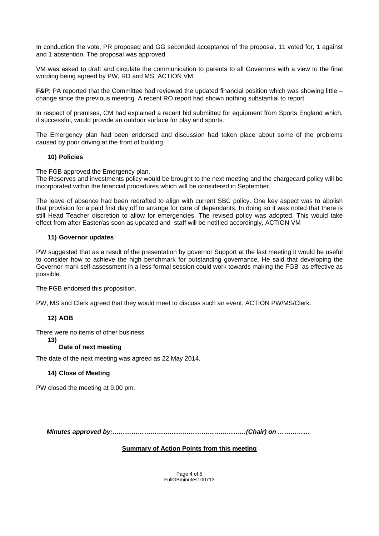In conduction the vote, PR proposed and GG seconded acceptance of the proposal. 11 voted for, 1 against and 1 abstention. The proposal was approved.

VM was asked to draft and circulate the communication to parents to all Governors with a view to the final wording being agreed by PW, RD and MS. ACTION VM.

**F&P:** PA reported that the Committee had reviewed the updated financial position which was showing little – change since the previous meeting. A recent RO report had shown nothing substantial to report.

In respect of premises, CM had explained a recent bid submitted for equipment from Sports England which, if successful, would provide an outdoor surface for play and sports.

The Emergency plan had been endorsed and discussion had taken place about some of the problems caused by poor driving at the front of building.

#### **10) Policies**

The FGB approved the Emergency plan.

The Reserves and investments policy would be brought to the next meeting and the chargecard policy will be incorporated within the financial procedures which will be considered in September.

The leave of absence had been redrafted to align with current SBC policy. One key aspect was to abolish that provision for a paid first day off to arrange for care of dependants. In doing so it was noted that there is still Head Teacher discretion to allow for emergencies. The revised policy was adopted. This would take effect from after Easter/as soon as updated and staff will be notified accordingly, ACTION VM

### **11) Governor updates**

PW suggested that as a result of the presentation by governor Support at the last meeting it would be useful to consider how to achieve the high benchmark for outstanding governance. He said that developing the Governor mark self-assessment in a less formal session could work towards making the FGB as effective as possible.

The FGB endorsed this proposition.

PW, MS and Clerk agreed that they would meet to discuss such an event. ACTION PW/MS/Clerk.

### **12) AOB**

There were no items of other business.

#### **13)**

### **Date of next meeting**

The date of the next meeting was agreed as 22 May 2014.

#### **14) Close of Meeting**

PW closed the meeting at 9.00 pm.

 *Minutes approved by:………………………………………………………(Chair) on ……………* 

#### **Summary of Action Points from this meeting**

Page 4 of 5 FullGBminutes100713